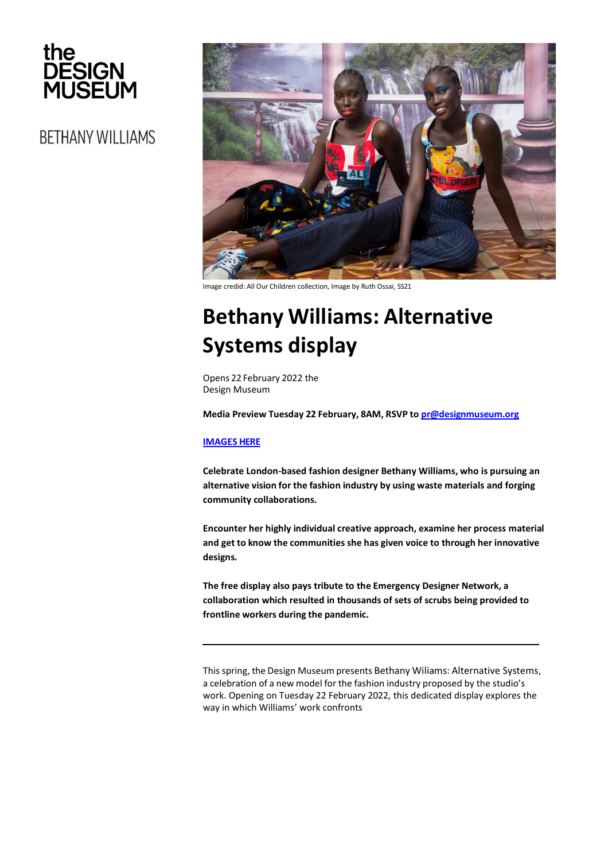

**BETHANY WILLIAMS** 



Image credid: All Our Children collection, Image by Ruth Ossai, SS21

# **Bethany Williams: Alternative Systems display**

Opens 22 February 2022 the Design Museum

**Media Preview Tuesday 22 February, 8AM, RSVP t[o pr@designmuseum.org](mailto:pr@designmuseum.org)**

## **IMAGES HERE**

**Celebrate London-based fashion designer Bethany Williams, who is pursuing an alternative vision for the fashion industry by using waste materials and forging community collaborations.**

**Encounter her highly individual creative approach, examine her process material and get to know the communities she has given voice to through her innovative designs.**

**The free display also pays tribute to the Emergency Designer Network, a collaboration which resulted in thousands of sets of scrubs being provided to frontline workers during the pandemic.**

This spring, the Design Museum presents Bethany Wiliams: Alternative Systems, a celebration of a new model for the fashion industry proposed by the studio's work. Opening on Tuesday 22 February 2022, this dedicated display explores the way in which Williams' work confronts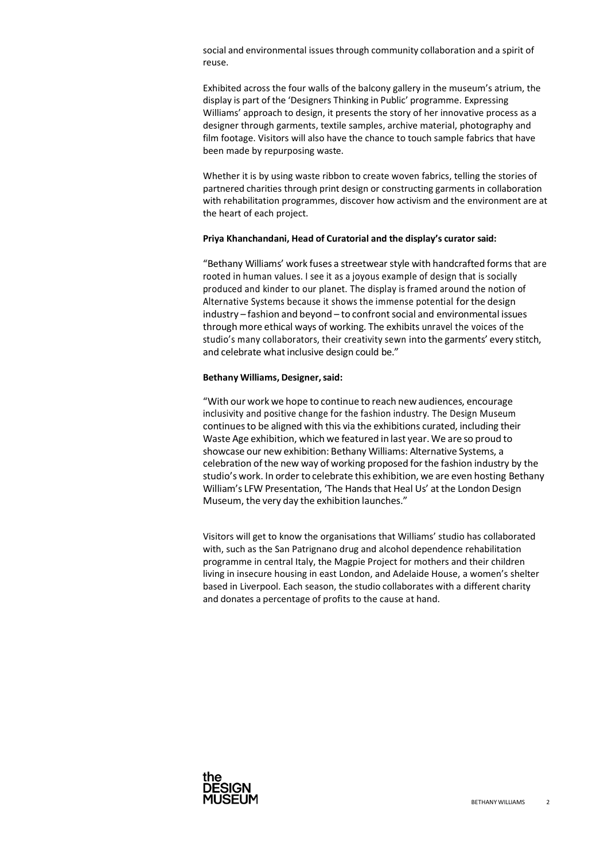social and environmental issues through community collaboration and a spirit of reuse.

Exhibited across the four walls of the balcony gallery in the museum's atrium, the display is part of the 'Designers Thinking in Public' programme. Expressing Williams' approach to design, it presents the story of her innovative process as a designer through garments, textile samples, archive material, photography and film footage. Visitors will also have the chance to touch sample fabrics that have been made by repurposing waste.

Whether it is by using waste ribbon to create woven fabrics, telling the stories of partnered charities through print design or constructing garments in collaboration with rehabilitation programmes, discover how activism and the environment are at the heart of each project.

#### **Priya Khanchandani, Head of Curatorial and the display's curator said:**

"Bethany Williams' work fuses a streetwear style with handcrafted forms that are rooted in human values. I see it as a joyous example of design that is socially produced and kinder to our planet. The display is framed around the notion of Alternative Systems because it shows the immense potential for the design  $industry - fashion$  and beyond  $-$  to confront social and environmental issues through more ethical ways of working. The exhibits unravel the voices of the studio's many collaborators, their creativity sewn into the garments' every stitch, and celebrate what inclusive design could be."

#### **Bethany Williams, Designer,said:**

"With our work we hope to continue to reach newaudiences, encourage inclusivity and positive change for the fashion industry. The Design Museum continuesto be aligned with this via the exhibitions curated, including their Waste Age exhibition, which we featured in last year. We are so proud to showcase our new exhibition: Bethany Williams: Alternative Systems, a celebration of the new way of working proposed forthe fashion industry by the studio's work. In order to celebrate this exhibition, we are even hosting Bethany William's LFW Presentation, 'The Hands that Heal Us' at the London Design Museum, the very day the exhibition launches."

Visitors will get to know the organisations that Williams' studio has collaborated with, such as the San Patrignano drug and alcohol dependence rehabilitation programme in central Italy, the Magpie Project for mothers and their children living in insecure housing in east London, and Adelaide House, a women's shelter based in Liverpool. Each season, the studio collaborates with a different charity and donates a percentage of profits to the cause at hand.

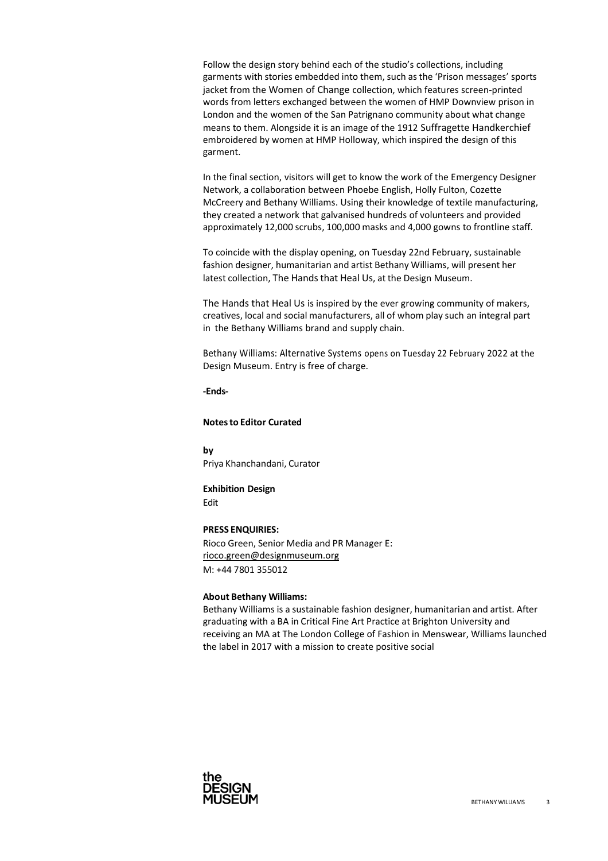Follow the design story behind each of the studio's collections, including garments with stories embedded into them, such as the 'Prison messages' sports jacket from the Women of Change collection, which features screen-printed words from letters exchanged between the women of HMP Downview prison in London and the women of the San Patrignano community about what change means to them. Alongside it is an image of the 1912 Suffragette Handkerchief embroidered by women at HMP Holloway, which inspired the design of this garment.

In the final section, visitors will get to know the work of the Emergency Designer Network, a collaboration between Phoebe English, Holly Fulton, Cozette McCreery and Bethany Williams. Using their knowledge of textile manufacturing, they created a network that galvanised hundreds of volunteers and provided approximately 12,000 scrubs, 100,000 masks and 4,000 gowns to frontline staff.

To coincide with the display opening, on Tuesday 22nd February, sustainable fashion designer, humanitarian and artist Bethany Williams, will present her latest collection, The Hands that Heal Us, at the Design Museum.

The Hands that Heal Us is inspired by the ever growing community of makers, creatives, local and social manufacturers, all of whom play such an integral part in the Bethany Williams brand and supply chain.

Bethany Williams: Alternative Systems opens on Tuesday 22 February 2022 at the Design Museum. Entry is free of charge.

**-Ends-**

## **Notesto Editor Curated**

**by** Priya Khanchandani, Curator

# **Exhibition Design**

Edit

# **PRESS ENQUIRIES:**

Rioco Green, Senior Media and PR Manager E: [rioco.green@designmuseum.org](mailto:rioco.green@designmuseum.org) M: +44 7801 355012

## **About Bethany Williams:**

Bethany Williams is a sustainable fashion designer, humanitarian and artist. After graduating with a BA in Critical Fine Art Practice at Brighton University and receiving an MA at The London College of Fashion in Menswear, Williams launched the label in 2017 with a mission to create positive social